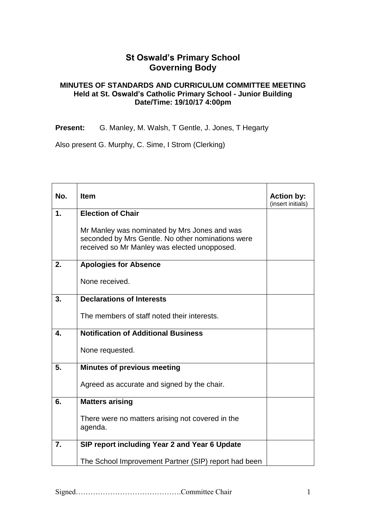## **St Oswald's Primary School Governing Body**

## **MINUTES OF STANDARDS AND CURRICULUM COMMITTEE MEETING Held at St. Oswald's Catholic Primary School - Junior Building Date/Time: 19/10/17 4:00pm**

**Present:** G. Manley, M. Walsh, T Gentle, J. Jones, T Hegarty

Also present G. Murphy, C. Sime, I Strom (Clerking)

| No. | <b>Item</b>                                                                                                                                       | <b>Action by:</b><br>(insert initials) |
|-----|---------------------------------------------------------------------------------------------------------------------------------------------------|----------------------------------------|
| 1.  | <b>Election of Chair</b>                                                                                                                          |                                        |
|     | Mr Manley was nominated by Mrs Jones and was<br>seconded by Mrs Gentle. No other nominations were<br>received so Mr Manley was elected unopposed. |                                        |
| 2.  | <b>Apologies for Absence</b>                                                                                                                      |                                        |
|     | None received.                                                                                                                                    |                                        |
| 3.  | <b>Declarations of Interests</b>                                                                                                                  |                                        |
|     | The members of staff noted their interests.                                                                                                       |                                        |
| 4.  | <b>Notification of Additional Business</b>                                                                                                        |                                        |
|     | None requested.                                                                                                                                   |                                        |
| 5.  | <b>Minutes of previous meeting</b>                                                                                                                |                                        |
|     | Agreed as accurate and signed by the chair.                                                                                                       |                                        |
| 6.  | <b>Matters arising</b>                                                                                                                            |                                        |
|     | There were no matters arising not covered in the<br>agenda.                                                                                       |                                        |
| 7.  | SIP report including Year 2 and Year 6 Update                                                                                                     |                                        |
|     | The School Improvement Partner (SIP) report had been                                                                                              |                                        |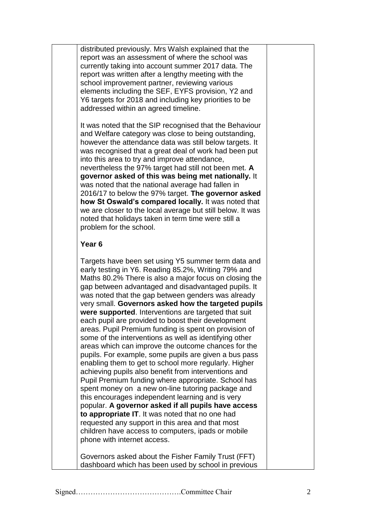distributed previously. Mrs Walsh explained that the report was an assessment of where the school was currently taking into account summer 2017 data. The report was written after a lengthy meeting with the school improvement partner, reviewing various elements including the SEF, EYFS provision, Y2 and Y6 targets for 2018 and including key priorities to be addressed within an agreed timeline.

It was noted that the SIP recognised that the Behaviour and Welfare category was close to being outstanding, however the attendance data was still below targets. It was recognised that a great deal of work had been put into this area to try and improve attendance, nevertheless the 97% target had still not been met. **A governor asked of this was being met nationally.** It was noted that the national average had fallen in 2016/17 to below the 97% target. **The governor asked how St Oswald's compared locally.** It was noted that we are closer to the local average but still below. It was noted that holidays taken in term time were still a problem for the school.

## **Year 6**

Targets have been set using Y5 summer term data and early testing in Y6. Reading 85.2%, Writing 79% and Maths 80.2% There is also a major focus on closing the gap between advantaged and disadvantaged pupils. It was noted that the gap between genders was already very small. **Governors asked how the targeted pupils were supported**. Interventions are targeted that suit each pupil are provided to boost their development areas. Pupil Premium funding is spent on provision of some of the interventions as well as identifying other areas which can improve the outcome chances for the pupils. For example, some pupils are given a bus pass enabling them to get to school more regularly. Higher achieving pupils also benefit from interventions and Pupil Premium funding where appropriate. School has spent money on a new on-line tutoring package and this encourages independent learning and is very popular. **A governor asked if all pupils have access to appropriate IT**. It was noted that no one had requested any support in this area and that most children have access to computers, ipads or mobile phone with internet access.

Governors asked about the Fisher Family Trust (FFT) dashboard which has been used by school in previous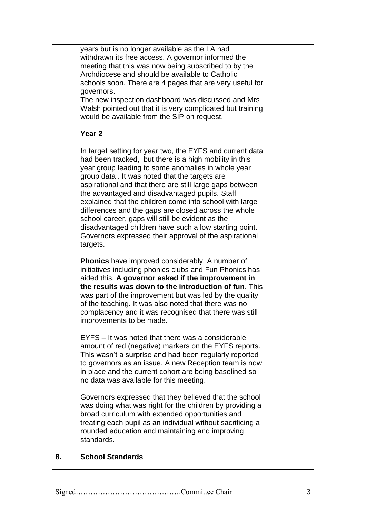| years but is no longer available as the LA had<br>withdrawn its free access. A governor informed the<br>meeting that this was now being subscribed to by the<br>Archdiocese and should be available to Catholic<br>schools soon. There are 4 pages that are very useful for<br>governors.<br>The new inspection dashboard was discussed and Mrs<br>Walsh pointed out that it is very complicated but training<br>would be available from the SIP on request.<br>Year <sub>2</sub><br>In target setting for year two, the EYFS and current data<br>had been tracked, but there is a high mobility in this<br>year group leading to some anomalies in whole year<br>group data. It was noted that the targets are<br>aspirational and that there are still large gaps between<br>the advantaged and disadvantaged pupils. Staff<br>explained that the children come into school with large<br>differences and the gaps are closed across the whole<br>school career, gaps will still be evident as the<br>disadvantaged children have such a low starting point.<br>Governors expressed their approval of the aspirational<br>targets.<br><b>Phonics</b> have improved considerably. A number of<br>initiatives including phonics clubs and Fun Phonics has<br>aided this. A governor asked if the improvement in<br>the results was down to the introduction of fun. This<br>was part of the improvement but was led by the quality<br>of the teaching. It was also noted that there was no<br>complacency and it was recognised that there was still<br>improvements to be made.<br>EYFS – It was noted that there was a considerable<br>amount of red (negative) markers on the EYFS reports.<br>This wasn't a surprise and had been regularly reported<br>to governors as an issue. A new Reception team is now<br>in place and the current cohort are being baselined so<br>no data was available for this meeting.<br>Governors expressed that they believed that the school<br>was doing what was right for the children by providing a<br>broad curriculum with extended opportunities and<br>treating each pupil as an individual without sacrificing a<br>rounded education and maintaining and improving<br>standards. |
|---------------------------------------------------------------------------------------------------------------------------------------------------------------------------------------------------------------------------------------------------------------------------------------------------------------------------------------------------------------------------------------------------------------------------------------------------------------------------------------------------------------------------------------------------------------------------------------------------------------------------------------------------------------------------------------------------------------------------------------------------------------------------------------------------------------------------------------------------------------------------------------------------------------------------------------------------------------------------------------------------------------------------------------------------------------------------------------------------------------------------------------------------------------------------------------------------------------------------------------------------------------------------------------------------------------------------------------------------------------------------------------------------------------------------------------------------------------------------------------------------------------------------------------------------------------------------------------------------------------------------------------------------------------------------------------------------------------------------------------------------------------------------------------------------------------------------------------------------------------------------------------------------------------------------------------------------------------------------------------------------------------------------------------------------------------------------------------------------------------------------------------------------------------------------------------------------------------------------------|
|                                                                                                                                                                                                                                                                                                                                                                                                                                                                                                                                                                                                                                                                                                                                                                                                                                                                                                                                                                                                                                                                                                                                                                                                                                                                                                                                                                                                                                                                                                                                                                                                                                                                                                                                                                                                                                                                                                                                                                                                                                                                                                                                                                                                                                 |
|                                                                                                                                                                                                                                                                                                                                                                                                                                                                                                                                                                                                                                                                                                                                                                                                                                                                                                                                                                                                                                                                                                                                                                                                                                                                                                                                                                                                                                                                                                                                                                                                                                                                                                                                                                                                                                                                                                                                                                                                                                                                                                                                                                                                                                 |
|                                                                                                                                                                                                                                                                                                                                                                                                                                                                                                                                                                                                                                                                                                                                                                                                                                                                                                                                                                                                                                                                                                                                                                                                                                                                                                                                                                                                                                                                                                                                                                                                                                                                                                                                                                                                                                                                                                                                                                                                                                                                                                                                                                                                                                 |
|                                                                                                                                                                                                                                                                                                                                                                                                                                                                                                                                                                                                                                                                                                                                                                                                                                                                                                                                                                                                                                                                                                                                                                                                                                                                                                                                                                                                                                                                                                                                                                                                                                                                                                                                                                                                                                                                                                                                                                                                                                                                                                                                                                                                                                 |
|                                                                                                                                                                                                                                                                                                                                                                                                                                                                                                                                                                                                                                                                                                                                                                                                                                                                                                                                                                                                                                                                                                                                                                                                                                                                                                                                                                                                                                                                                                                                                                                                                                                                                                                                                                                                                                                                                                                                                                                                                                                                                                                                                                                                                                 |
|                                                                                                                                                                                                                                                                                                                                                                                                                                                                                                                                                                                                                                                                                                                                                                                                                                                                                                                                                                                                                                                                                                                                                                                                                                                                                                                                                                                                                                                                                                                                                                                                                                                                                                                                                                                                                                                                                                                                                                                                                                                                                                                                                                                                                                 |
|                                                                                                                                                                                                                                                                                                                                                                                                                                                                                                                                                                                                                                                                                                                                                                                                                                                                                                                                                                                                                                                                                                                                                                                                                                                                                                                                                                                                                                                                                                                                                                                                                                                                                                                                                                                                                                                                                                                                                                                                                                                                                                                                                                                                                                 |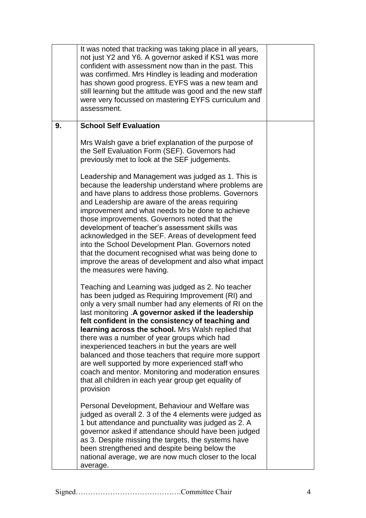|    | It was noted that tracking was taking place in all years,<br>not just Y2 and Y6. A governor asked if KS1 was more<br>confident with assessment now than in the past. This<br>was confirmed. Mrs Hindley is leading and moderation<br>has shown good progress. EYFS was a new team and<br>still learning but the attitude was good and the new staff<br>were very focussed on mastering EYFS curriculum and<br>assessment.                                                                                                                                                                                                                                                      |  |
|----|--------------------------------------------------------------------------------------------------------------------------------------------------------------------------------------------------------------------------------------------------------------------------------------------------------------------------------------------------------------------------------------------------------------------------------------------------------------------------------------------------------------------------------------------------------------------------------------------------------------------------------------------------------------------------------|--|
| 9. | <b>School Self Evaluation</b>                                                                                                                                                                                                                                                                                                                                                                                                                                                                                                                                                                                                                                                  |  |
|    | Mrs Walsh gave a brief explanation of the purpose of<br>the Self Evaluation Form (SEF). Governors had<br>previously met to look at the SEF judgements.                                                                                                                                                                                                                                                                                                                                                                                                                                                                                                                         |  |
|    | Leadership and Management was judged as 1. This is<br>because the leadership understand where problems are<br>and have plans to address those problems. Governors<br>and Leadership are aware of the areas requiring<br>improvement and what needs to be done to achieve<br>those improvements. Governors noted that the<br>development of teacher's assessment skills was<br>acknowledged in the SEF. Areas of development feed<br>into the School Development Plan. Governors noted<br>that the document recognised what was being done to<br>improve the areas of development and also what impact<br>the measures were having.                                             |  |
|    | Teaching and Learning was judged as 2. No teacher<br>has been judged as Requiring Improvement (RI) and<br>only a very small number had any elements of RI on the<br>last monitoring .A governor asked if the leadership<br>felt confident in the consistency of teaching and<br>learning across the school. Mrs Walsh replied that<br>there was a number of year groups which had<br>inexperienced teachers in but the years are well<br>balanced and those teachers that require more support<br>are well supported by more experienced staff who<br>coach and mentor. Monitoring and moderation ensures<br>that all children in each year group get equality of<br>provision |  |
|    | Personal Development, Behaviour and Welfare was<br>judged as overall 2. 3 of the 4 elements were judged as<br>1 but attendance and punctuality was judged as 2. A<br>governor asked if attendance should have been judged<br>as 3. Despite missing the targets, the systems have<br>been strengthened and despite being below the<br>national average, we are now much closer to the local<br>average.                                                                                                                                                                                                                                                                         |  |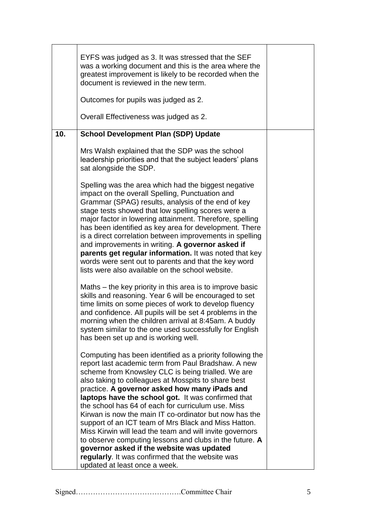|     | EYFS was judged as 3. It was stressed that the SEF<br>was a working document and this is the area where the<br>greatest improvement is likely to be recorded when the<br>document is reviewed in the new term.<br>Outcomes for pupils was judged as 2.                                                                                                                                                                                                                                                                                                                                                                                                                                       |  |
|-----|----------------------------------------------------------------------------------------------------------------------------------------------------------------------------------------------------------------------------------------------------------------------------------------------------------------------------------------------------------------------------------------------------------------------------------------------------------------------------------------------------------------------------------------------------------------------------------------------------------------------------------------------------------------------------------------------|--|
|     | Overall Effectiveness was judged as 2.                                                                                                                                                                                                                                                                                                                                                                                                                                                                                                                                                                                                                                                       |  |
| 10. | <b>School Development Plan (SDP) Update</b>                                                                                                                                                                                                                                                                                                                                                                                                                                                                                                                                                                                                                                                  |  |
|     | Mrs Walsh explained that the SDP was the school<br>leadership priorities and that the subject leaders' plans<br>sat alongside the SDP.                                                                                                                                                                                                                                                                                                                                                                                                                                                                                                                                                       |  |
|     | Spelling was the area which had the biggest negative<br>impact on the overall Spelling, Punctuation and<br>Grammar (SPAG) results, analysis of the end of key<br>stage tests showed that low spelling scores were a<br>major factor in lowering attainment. Therefore, spelling<br>has been identified as key area for development. There<br>is a direct correlation between improvements in spelling<br>and improvements in writing. A governor asked if<br>parents get regular information. It was noted that key<br>words were sent out to parents and that the key word<br>lists were also available on the school website.<br>Maths – the key priority in this area is to improve basic |  |
|     | skills and reasoning. Year 6 will be encouraged to set<br>time limits on some pieces of work to develop fluency<br>and confidence. All pupils will be set 4 problems in the<br>morning when the children arrival at 8:45am. A buddy<br>system similar to the one used successfully for English<br>has been set up and is working well.                                                                                                                                                                                                                                                                                                                                                       |  |
|     | Computing has been identified as a priority following the<br>report last academic term from Paul Bradshaw. A new<br>scheme from Knowsley CLC is being trialled. We are<br>also taking to colleagues at Mosspits to share best<br>practice. A governor asked how many iPads and<br>laptops have the school got. It was confirmed that<br>the school has 64 of each for curriculum use. Miss<br>Kirwan is now the main IT co-ordinator but now has the<br>support of an ICT team of Mrs Black and Miss Hatton.<br>Miss Kirwin will lead the team and will invite governors<br>to observe computing lessons and clubs in the future. A<br>governor asked if the website was updated             |  |
|     | regularly. It was confirmed that the website was<br>updated at least once a week.                                                                                                                                                                                                                                                                                                                                                                                                                                                                                                                                                                                                            |  |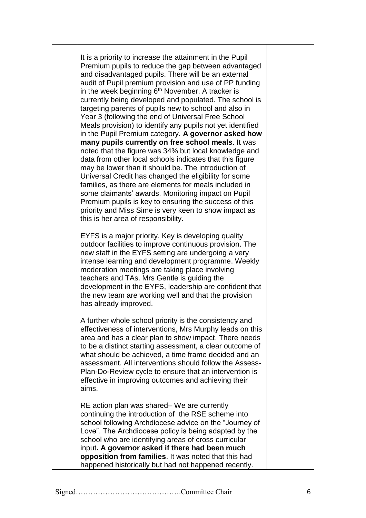It is a priority to increase the attainment in the Pupil Premium pupils to reduce the gap between advantaged and disadvantaged pupils. There will be an external audit of Pupil premium provision and use of PP funding in the week beginning 6<sup>th</sup> November. A tracker is currently being developed and populated. The school is targeting parents of pupils new to school and also in Year 3 (following the end of Universal Free School Meals provision) to identify any pupils not yet identified in the Pupil Premium category. **A governor asked how many pupils currently on free school meals**. It was noted that the figure was 34% but local knowledge and data from other local schools indicates that this figure may be lower than it should be. The introduction of Universal Credit has changed the eligibility for some families, as there are elements for meals included in some claimants' awards. Monitoring impact on Pupil Premium pupils is key to ensuring the success of this priority and Miss Sime is very keen to show impact as this is her area of responsibility. EYFS is a major priority. Key is developing quality outdoor facilities to improve continuous provision. The new staff in the EYFS setting are undergoing a very intense learning and development programme. Weekly moderation meetings are taking place involving teachers and TAs. Mrs Gentle is guiding the development in the EYFS, leadership are confident that the new team are working well and that the provision has already improved. A further whole school priority is the consistency and effectiveness of interventions, Mrs Murphy leads on this area and has a clear plan to show impact. There needs to be a distinct starting assessment, a clear outcome of

what should be achieved, a time frame decided and an assessment. All interventions should follow the Assess-Plan-Do-Review cycle to ensure that an intervention is effective in improving outcomes and achieving their aims.

RE action plan was shared– We are currently continuing the introduction of the RSE scheme into school following Archdiocese advice on the "Journey of Love". The Archdiocese policy is being adapted by the school who are identifying areas of cross curricular input**. A governor asked if there had been much opposition from families**. It was noted that this had happened historically but had not happened recently.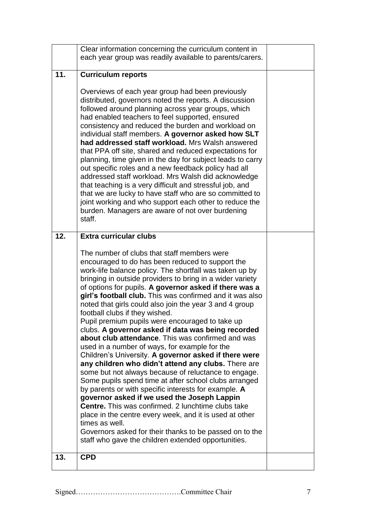|     | Clear information concerning the curriculum content in                                                                                                                                                                                                                                                                                                                                                                                                                                                                                                                                                                                                                                                                                                                                                                                                                                                                                                                                                                                                                                                                                                                                                                                                        |  |
|-----|---------------------------------------------------------------------------------------------------------------------------------------------------------------------------------------------------------------------------------------------------------------------------------------------------------------------------------------------------------------------------------------------------------------------------------------------------------------------------------------------------------------------------------------------------------------------------------------------------------------------------------------------------------------------------------------------------------------------------------------------------------------------------------------------------------------------------------------------------------------------------------------------------------------------------------------------------------------------------------------------------------------------------------------------------------------------------------------------------------------------------------------------------------------------------------------------------------------------------------------------------------------|--|
|     | each year group was readily available to parents/carers.                                                                                                                                                                                                                                                                                                                                                                                                                                                                                                                                                                                                                                                                                                                                                                                                                                                                                                                                                                                                                                                                                                                                                                                                      |  |
| 11. |                                                                                                                                                                                                                                                                                                                                                                                                                                                                                                                                                                                                                                                                                                                                                                                                                                                                                                                                                                                                                                                                                                                                                                                                                                                               |  |
|     | <b>Curriculum reports</b>                                                                                                                                                                                                                                                                                                                                                                                                                                                                                                                                                                                                                                                                                                                                                                                                                                                                                                                                                                                                                                                                                                                                                                                                                                     |  |
|     | Overviews of each year group had been previously<br>distributed, governors noted the reports. A discussion<br>followed around planning across year groups, which<br>had enabled teachers to feel supported, ensured<br>consistency and reduced the burden and workload on<br>individual staff members. A governor asked how SLT<br>had addressed staff workload. Mrs Walsh answered<br>that PPA off site, shared and reduced expectations for<br>planning, time given in the day for subject leads to carry<br>out specific roles and a new feedback policy had all<br>addressed staff workload. Mrs Walsh did acknowledge<br>that teaching is a very difficult and stressful job, and<br>that we are lucky to have staff who are so committed to<br>joint working and who support each other to reduce the<br>burden. Managers are aware of not over burdening<br>staff.                                                                                                                                                                                                                                                                                                                                                                                     |  |
| 12. | <b>Extra curricular clubs</b>                                                                                                                                                                                                                                                                                                                                                                                                                                                                                                                                                                                                                                                                                                                                                                                                                                                                                                                                                                                                                                                                                                                                                                                                                                 |  |
|     | The number of clubs that staff members were<br>encouraged to do has been reduced to support the<br>work-life balance policy. The shortfall was taken up by<br>bringing in outside providers to bring in a wider variety<br>of options for pupils. A governor asked if there was a<br>girl's football club. This was confirmed and it was also<br>noted that girls could also join the year 3 and 4 group<br>football clubs if they wished.<br>Pupil premium pupils were encouraged to take up<br>clubs. A governor asked if data was being recorded<br>about club attendance. This was confirmed and was<br>used in a number of ways, for example for the<br>Children's University. A governor asked if there were<br>any children who didn't attend any clubs. There are<br>some but not always because of reluctance to engage.<br>Some pupils spend time at after school clubs arranged<br>by parents or with specific interests for example. A<br>governor asked if we used the Joseph Lappin<br><b>Centre.</b> This was confirmed. 2 lunchtime clubs take<br>place in the centre every week, and it is used at other<br>times as well.<br>Governors asked for their thanks to be passed on to the<br>staff who gave the children extended opportunities. |  |
| 13. | <b>CPD</b>                                                                                                                                                                                                                                                                                                                                                                                                                                                                                                                                                                                                                                                                                                                                                                                                                                                                                                                                                                                                                                                                                                                                                                                                                                                    |  |